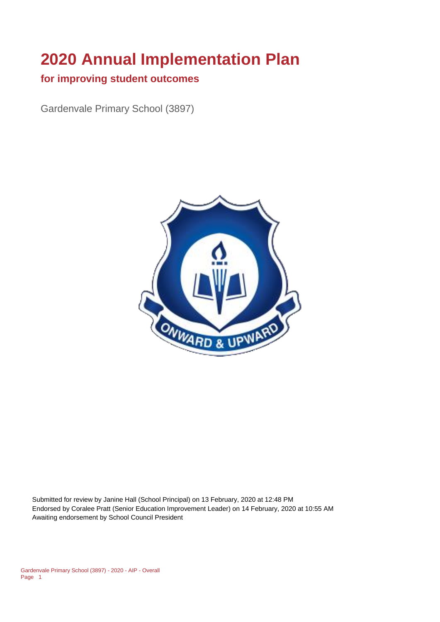# **2020 Annual Implementation Plan**

#### **for improving student outcomes**

Gardenvale Primary School (3897)



Submitted for review by Janine Hall (School Principal) on 13 February, 2020 at 12:48 PM Endorsed by Coralee Pratt (Senior Education Improvement Leader) on 14 February, 2020 at 10:55 AM Awaiting endorsement by School Council President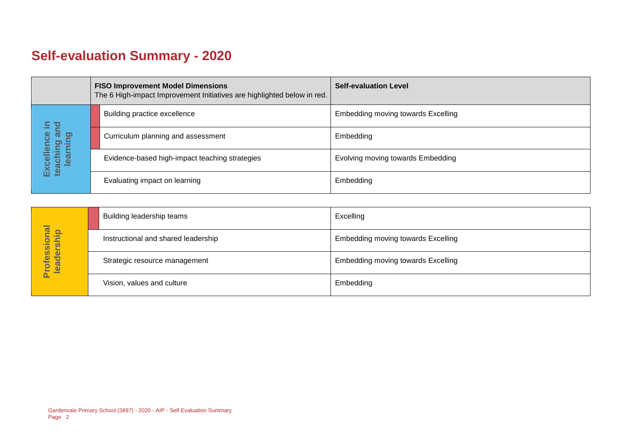# **Self-evaluation Summary - 2020**

|  |                                                         | <b>FISO Improvement Model Dimensions</b><br>The 6 High-impact Improvement Initiatives are highlighted below in red. | <b>Self-evaluation Level</b>              |
|--|---------------------------------------------------------|---------------------------------------------------------------------------------------------------------------------|-------------------------------------------|
|  | Ξ.                                                      | Building practice excellence                                                                                        | <b>Embedding moving towards Excelling</b> |
|  | ត<br>lence<br>aching ar<br>learning<br>Excell<br>teachi | Curriculum planning and assessment                                                                                  | Embedding                                 |
|  |                                                         | Evidence-based high-impact teaching strategies                                                                      | Evolving moving towards Embedding         |
|  |                                                         | Evaluating impact on learning                                                                                       | Embedding                                 |

|                            | Building leadership teams           | Excelling                                 |
|----------------------------|-------------------------------------|-------------------------------------------|
| Professional<br>leadership | Instructional and shared leadership | <b>Embedding moving towards Excelling</b> |
|                            | Strategic resource management       | <b>Embedding moving towards Excelling</b> |
|                            | Vision, values and culture          | Embedding                                 |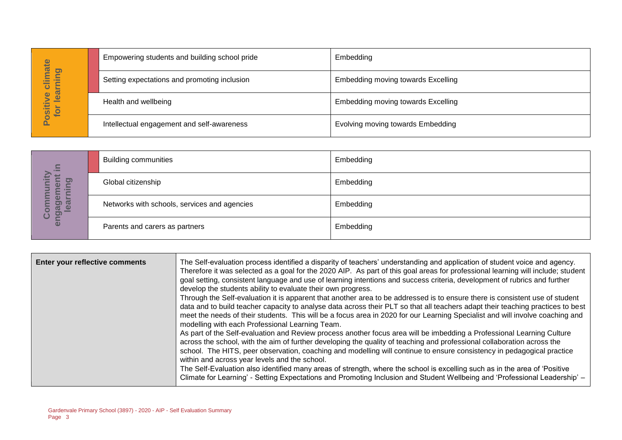| imate                             | Empowering students and building school pride | Embedding                          |
|-----------------------------------|-----------------------------------------------|------------------------------------|
| <b>la</b><br>.≒<br>-<br>⊨<br>ပ    | Setting expectations and promoting inclusion  | Embedding moving towards Excelling |
| lear<br>ဖ<br><b>Ositiv</b><br>tor | Health and wellbeing                          | Embedding moving towards Excelling |
| <u>n.</u>                         | Intellectual engagement and self-awareness    | Evolving moving towards Embedding  |

| $\equiv$                                           | <b>Building communities</b>                  | Embedding |
|----------------------------------------------------|----------------------------------------------|-----------|
| <u>ත</u><br>$\boldsymbol{\omega}$<br><b>E</b><br>► | Global citizenship                           | Embedding |
| ō<br><b>Ba</b><br>o)]<br>enga<br>ပိ                | Networks with schools, services and agencies | Embedding |
|                                                    | Parents and carers as partners               | Embedding |

|                                  |                                                                         | Empowering students and building school pride                                                                                                                    | <b>EINDEQUING</b>                                                                                                                                                                                                                                                                                                                                                                                                                                                                                                                                                                                                                                                                                                                                                                                                                                                                                                                                                                                                                                                                                                                                                                                                                                                                                                                                                                                                                          |
|----------------------------------|-------------------------------------------------------------------------|------------------------------------------------------------------------------------------------------------------------------------------------------------------|--------------------------------------------------------------------------------------------------------------------------------------------------------------------------------------------------------------------------------------------------------------------------------------------------------------------------------------------------------------------------------------------------------------------------------------------------------------------------------------------------------------------------------------------------------------------------------------------------------------------------------------------------------------------------------------------------------------------------------------------------------------------------------------------------------------------------------------------------------------------------------------------------------------------------------------------------------------------------------------------------------------------------------------------------------------------------------------------------------------------------------------------------------------------------------------------------------------------------------------------------------------------------------------------------------------------------------------------------------------------------------------------------------------------------------------------|
| Positive climate<br>for learning |                                                                         | Setting expectations and promoting inclusion                                                                                                                     | Embedding moving towards Excelling                                                                                                                                                                                                                                                                                                                                                                                                                                                                                                                                                                                                                                                                                                                                                                                                                                                                                                                                                                                                                                                                                                                                                                                                                                                                                                                                                                                                         |
|                                  | Health and wellbeing                                                    |                                                                                                                                                                  | <b>Embedding moving towards Excelling</b>                                                                                                                                                                                                                                                                                                                                                                                                                                                                                                                                                                                                                                                                                                                                                                                                                                                                                                                                                                                                                                                                                                                                                                                                                                                                                                                                                                                                  |
|                                  | Intellectual engagement and self-awareness                              |                                                                                                                                                                  | Evolving moving towards Embedding                                                                                                                                                                                                                                                                                                                                                                                                                                                                                                                                                                                                                                                                                                                                                                                                                                                                                                                                                                                                                                                                                                                                                                                                                                                                                                                                                                                                          |
|                                  |                                                                         |                                                                                                                                                                  |                                                                                                                                                                                                                                                                                                                                                                                                                                                                                                                                                                                                                                                                                                                                                                                                                                                                                                                                                                                                                                                                                                                                                                                                                                                                                                                                                                                                                                            |
|                                  | <b>Building communities</b>                                             |                                                                                                                                                                  | Embedding                                                                                                                                                                                                                                                                                                                                                                                                                                                                                                                                                                                                                                                                                                                                                                                                                                                                                                                                                                                                                                                                                                                                                                                                                                                                                                                                                                                                                                  |
| earning                          | Global citizenship                                                      |                                                                                                                                                                  | Embedding                                                                                                                                                                                                                                                                                                                                                                                                                                                                                                                                                                                                                                                                                                                                                                                                                                                                                                                                                                                                                                                                                                                                                                                                                                                                                                                                                                                                                                  |
| engagement in<br>Community       | Networks with schools, services and agencies                            |                                                                                                                                                                  | Embedding                                                                                                                                                                                                                                                                                                                                                                                                                                                                                                                                                                                                                                                                                                                                                                                                                                                                                                                                                                                                                                                                                                                                                                                                                                                                                                                                                                                                                                  |
|                                  | Parents and carers as partners                                          |                                                                                                                                                                  | Embedding                                                                                                                                                                                                                                                                                                                                                                                                                                                                                                                                                                                                                                                                                                                                                                                                                                                                                                                                                                                                                                                                                                                                                                                                                                                                                                                                                                                                                                  |
|                                  |                                                                         |                                                                                                                                                                  |                                                                                                                                                                                                                                                                                                                                                                                                                                                                                                                                                                                                                                                                                                                                                                                                                                                                                                                                                                                                                                                                                                                                                                                                                                                                                                                                                                                                                                            |
| Enter your reflective comments   |                                                                         | develop the students ability to evaluate their own progress.<br>modelling with each Professional Learning Team.<br>within and across year levels and the school. | The Self-evaluation process identified a disparity of teachers' understanding and application of student voice and agency.<br>Therefore it was selected as a goal for the 2020 AIP. As part of this goal areas for professional learning will include; student<br>goal setting, consistent language and use of learning intentions and success criteria, development of rubrics and further<br>Through the Self-evaluation it is apparent that another area to be addressed is to ensure there is consistent use of student<br>data and to build teacher capacity to analyse data across their PLT so that all teachers adapt their teaching practices to best<br>meet the needs of their students. This will be a focus area in 2020 for our Learning Specialist and will involve coaching and<br>As part of the Self-evaluation and Review process another focus area will be imbedding a Professional Learning Culture<br>across the school, with the aim of further developing the quality of teaching and professional collaboration across the<br>school. The HITS, peer observation, coaching and modelling will continue to ensure consistency in pedagogical practice<br>The Self-Evaluation also identified many areas of strength, where the school is excelling such as in the area of 'Positive<br>Climate for Learning' - Setting Expectations and Promoting Inclusion and Student Wellbeing and 'Professional Leadership' - |
| Page 3                           | Gardenvale Primary School (3897) - 2020 - AIP - Self Evaluation Summary |                                                                                                                                                                  |                                                                                                                                                                                                                                                                                                                                                                                                                                                                                                                                                                                                                                                                                                                                                                                                                                                                                                                                                                                                                                                                                                                                                                                                                                                                                                                                                                                                                                            |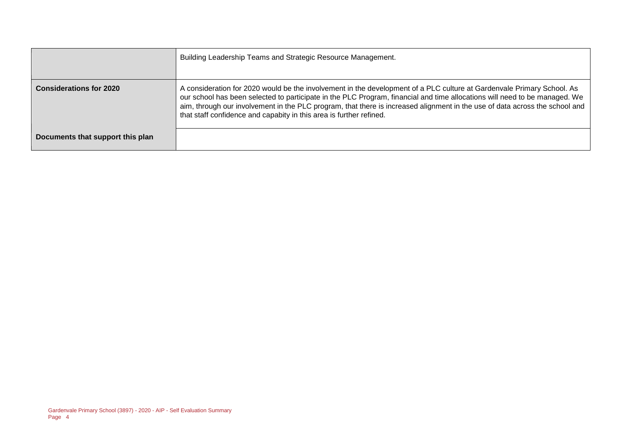|                                  | Building Leadership Teams and Strategic Resource Management.                                                                                                                                                                                                                                                                                                                                                                                               |
|----------------------------------|------------------------------------------------------------------------------------------------------------------------------------------------------------------------------------------------------------------------------------------------------------------------------------------------------------------------------------------------------------------------------------------------------------------------------------------------------------|
| <b>Considerations for 2020</b>   | A consideration for 2020 would be the involvement in the development of a PLC culture at Gardenvale Primary School. As<br>our school has been selected to participate in the PLC Program, financial and time allocations will need to be managed. We<br>aim, through our involvement in the PLC program, that there is increased alignment in the use of data across the school and<br>that staff confidence and capabity in this area is further refined. |
| Documents that support this plan |                                                                                                                                                                                                                                                                                                                                                                                                                                                            |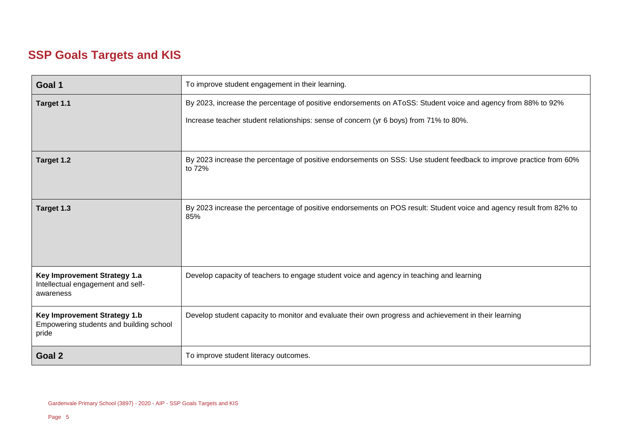## **SSP Goals Targets and KIS**

| Goal 1                                                                           | To improve student engagement in their learning.                                                                             |  |
|----------------------------------------------------------------------------------|------------------------------------------------------------------------------------------------------------------------------|--|
| Target 1.1                                                                       | By 2023, increase the percentage of positive endorsements on AToSS: Student voice and agency from 88% to 92%                 |  |
|                                                                                  | Increase teacher student relationships: sense of concern (yr 6 boys) from 71% to 80%.                                        |  |
|                                                                                  |                                                                                                                              |  |
| Target 1.2                                                                       | By 2023 increase the percentage of positive endorsements on SSS: Use student feedback to improve practice from 60%<br>to 72% |  |
| Target 1.3                                                                       | By 2023 increase the percentage of positive endorsements on POS result: Student voice and agency result from 82% to<br>85%   |  |
| Key Improvement Strategy 1.a<br>Intellectual engagement and self-<br>awareness   | Develop capacity of teachers to engage student voice and agency in teaching and learning                                     |  |
| Key Improvement Strategy 1.b<br>Empowering students and building school<br>pride | Develop student capacity to monitor and evaluate their own progress and achievement in their learning                        |  |
| Goal 2                                                                           | To improve student literacy outcomes.                                                                                        |  |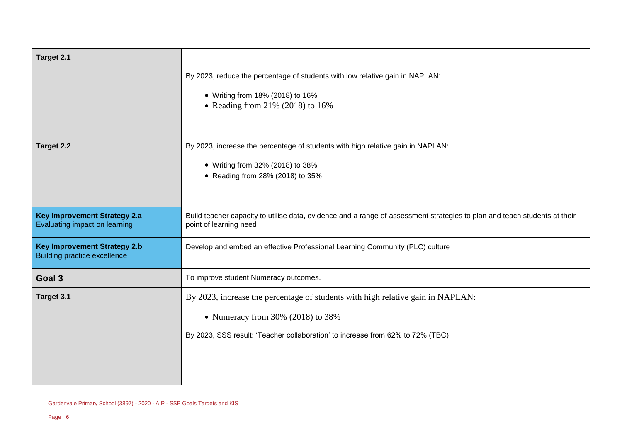| Target 2.1                                                                 |                                                                                                                                                     |
|----------------------------------------------------------------------------|-----------------------------------------------------------------------------------------------------------------------------------------------------|
|                                                                            | By 2023, reduce the percentage of students with low relative gain in NAPLAN:<br>• Writing from 18% (2018) to 16%                                    |
|                                                                            | • Reading from $21\%$ (2018) to 16%                                                                                                                 |
| Target 2.2                                                                 | By 2023, increase the percentage of students with high relative gain in NAPLAN:                                                                     |
|                                                                            | • Writing from 32% (2018) to 38%                                                                                                                    |
|                                                                            | • Reading from 28% (2018) to 35%                                                                                                                    |
|                                                                            |                                                                                                                                                     |
| <b>Key Improvement Strategy 2.a</b><br>Evaluating impact on learning       | Build teacher capacity to utilise data, evidence and a range of assessment strategies to plan and teach students at their<br>point of learning need |
| <b>Key Improvement Strategy 2.b</b><br><b>Building practice excellence</b> | Develop and embed an effective Professional Learning Community (PLC) culture                                                                        |
| Goal 3                                                                     | To improve student Numeracy outcomes.                                                                                                               |
| Target 3.1                                                                 | By 2023, increase the percentage of students with high relative gain in NAPLAN:                                                                     |
|                                                                            | • Numeracy from $30\%$ (2018) to $38\%$                                                                                                             |
|                                                                            | By 2023, SSS result: 'Teacher collaboration' to increase from 62% to 72% (TBC)                                                                      |
|                                                                            |                                                                                                                                                     |
|                                                                            |                                                                                                                                                     |
|                                                                            |                                                                                                                                                     |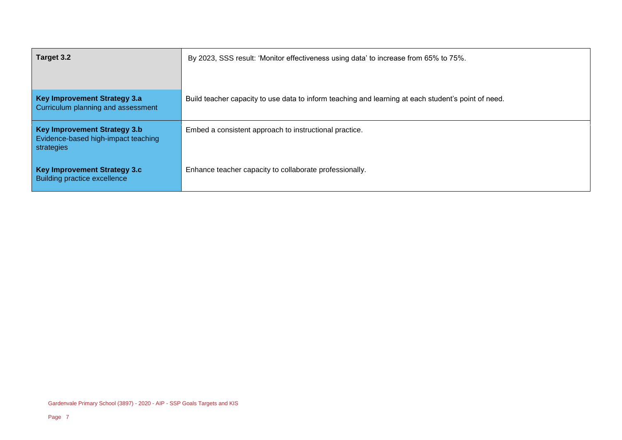| Target 3.2                                                                        | By 2023, SSS result: 'Monitor effectiveness using data' to increase from 65% to 75%.                |
|-----------------------------------------------------------------------------------|-----------------------------------------------------------------------------------------------------|
| Key Improvement Strategy 3.a<br>Curriculum planning and assessment                | Build teacher capacity to use data to inform teaching and learning at each student's point of need. |
| Key Improvement Strategy 3.b<br>Evidence-based high-impact teaching<br>strategies | Embed a consistent approach to instructional practice.                                              |
| Key Improvement Strategy 3.c<br>Building practice excellence                      | Enhance teacher capacity to collaborate professionally.                                             |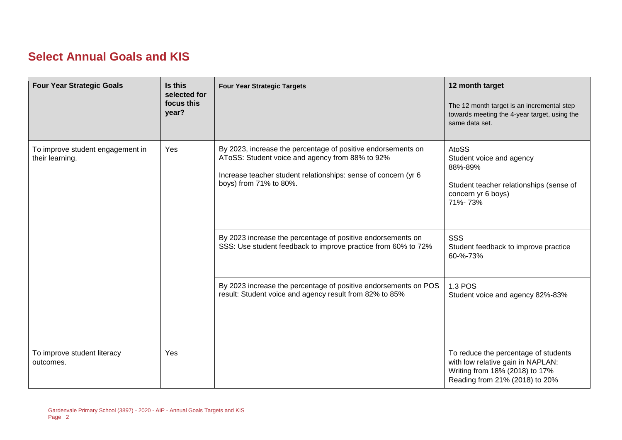### **Select Annual Goals and KIS**

| <b>Four Year Strategic Goals</b>                    | Is this<br>selected for<br>focus this<br>year? | <b>Four Year Strategic Targets</b>                                                                                                                                                                          | 12 month target<br>The 12 month target is an incremental step<br>towards meeting the 4-year target, using the<br>same data set.               |
|-----------------------------------------------------|------------------------------------------------|-------------------------------------------------------------------------------------------------------------------------------------------------------------------------------------------------------------|-----------------------------------------------------------------------------------------------------------------------------------------------|
| To improve student engagement in<br>their learning. | Yes                                            | By 2023, increase the percentage of positive endorsements on<br>AToSS: Student voice and agency from 88% to 92%<br>Increase teacher student relationships: sense of concern (yr 6<br>boys) from 71% to 80%. | <b>AtoSS</b><br>Student voice and agency<br>88%-89%<br>Student teacher relationships (sense of<br>concern yr 6 boys)<br>71%-73%               |
|                                                     |                                                | By 2023 increase the percentage of positive endorsements on<br>SSS: Use student feedback to improve practice from 60% to 72%                                                                                | <b>SSS</b><br>Student feedback to improve practice<br>60-%-73%                                                                                |
|                                                     |                                                | By 2023 increase the percentage of positive endorsements on POS<br>result: Student voice and agency result from 82% to 85%                                                                                  | 1.3 POS<br>Student voice and agency 82%-83%                                                                                                   |
| To improve student literacy<br>outcomes.            | Yes                                            |                                                                                                                                                                                                             | To reduce the percentage of students<br>with low relative gain in NAPLAN:<br>Writing from 18% (2018) to 17%<br>Reading from 21% (2018) to 20% |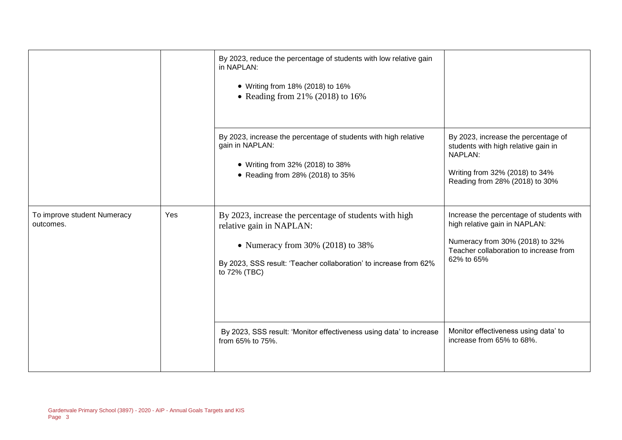|                                          |     | By 2023, reduce the percentage of students with low relative gain<br>in NAPLAN:<br>• Writing from 18% (2018) to 16%<br>• Reading from $21\%$ (2018) to 16%                                                                                                                                |                                                                                                                                                                                                                                           |
|------------------------------------------|-----|-------------------------------------------------------------------------------------------------------------------------------------------------------------------------------------------------------------------------------------------------------------------------------------------|-------------------------------------------------------------------------------------------------------------------------------------------------------------------------------------------------------------------------------------------|
|                                          |     | By 2023, increase the percentage of students with high relative<br>gain in NAPLAN:<br>• Writing from 32% (2018) to 38%<br>• Reading from 28% (2018) to 35%                                                                                                                                | By 2023, increase the percentage of<br>students with high relative gain in<br>NAPLAN:<br>Writing from 32% (2018) to 34%<br>Reading from 28% (2018) to 30%                                                                                 |
| To improve student Numeracy<br>outcomes. | Yes | By 2023, increase the percentage of students with high<br>relative gain in NAPLAN:<br>• Numeracy from $30\%$ (2018) to $38\%$<br>By 2023, SSS result: 'Teacher collaboration' to increase from 62%<br>to 72% (TBC)<br>By 2023, SSS result: 'Monitor effectiveness using data' to increase | Increase the percentage of students with<br>high relative gain in NAPLAN:<br>Numeracy from 30% (2018) to 32%<br>Teacher collaboration to increase from<br>62% to 65%<br>Monitor effectiveness using data' to<br>increase from 65% to 68%. |
|                                          |     | from 65% to 75%.                                                                                                                                                                                                                                                                          |                                                                                                                                                                                                                                           |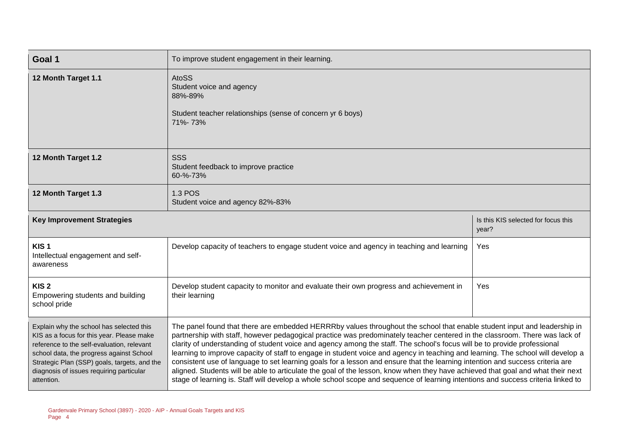| Goal 1                                                                                                                                                                                                                                                                                    | To improve student engagement in their learning.                                                                                                                                                                                                                                                                                                                                                                                                                                                                                                                                                                                                                                                                                                                                                                                                                                                                               |                                              |  |
|-------------------------------------------------------------------------------------------------------------------------------------------------------------------------------------------------------------------------------------------------------------------------------------------|--------------------------------------------------------------------------------------------------------------------------------------------------------------------------------------------------------------------------------------------------------------------------------------------------------------------------------------------------------------------------------------------------------------------------------------------------------------------------------------------------------------------------------------------------------------------------------------------------------------------------------------------------------------------------------------------------------------------------------------------------------------------------------------------------------------------------------------------------------------------------------------------------------------------------------|----------------------------------------------|--|
| 12 Month Target 1.1                                                                                                                                                                                                                                                                       | <b>AtoSS</b><br>Student voice and agency<br>88%-89%<br>Student teacher relationships (sense of concern yr 6 boys)<br>71%-73%                                                                                                                                                                                                                                                                                                                                                                                                                                                                                                                                                                                                                                                                                                                                                                                                   |                                              |  |
| 12 Month Target 1.2                                                                                                                                                                                                                                                                       | <b>SSS</b><br>Student feedback to improve practice<br>60-%-73%                                                                                                                                                                                                                                                                                                                                                                                                                                                                                                                                                                                                                                                                                                                                                                                                                                                                 |                                              |  |
| 12 Month Target 1.3                                                                                                                                                                                                                                                                       | <b>1.3 POS</b><br>Student voice and agency 82%-83%                                                                                                                                                                                                                                                                                                                                                                                                                                                                                                                                                                                                                                                                                                                                                                                                                                                                             |                                              |  |
| <b>Key Improvement Strategies</b>                                                                                                                                                                                                                                                         |                                                                                                                                                                                                                                                                                                                                                                                                                                                                                                                                                                                                                                                                                                                                                                                                                                                                                                                                | Is this KIS selected for focus this<br>year? |  |
| KIS <sub>1</sub><br>Intellectual engagement and self-<br>awareness                                                                                                                                                                                                                        | Develop capacity of teachers to engage student voice and agency in teaching and learning                                                                                                                                                                                                                                                                                                                                                                                                                                                                                                                                                                                                                                                                                                                                                                                                                                       | Yes                                          |  |
| KIS <sub>2</sub><br>Empowering students and building<br>school pride                                                                                                                                                                                                                      | Develop student capacity to monitor and evaluate their own progress and achievement in<br>their learning                                                                                                                                                                                                                                                                                                                                                                                                                                                                                                                                                                                                                                                                                                                                                                                                                       | Yes                                          |  |
| Explain why the school has selected this<br>KIS as a focus for this year. Please make<br>reference to the self-evaluation, relevant<br>school data, the progress against School<br>Strategic Plan (SSP) goals, targets, and the<br>diagnosis of issues requiring particular<br>attention. | The panel found that there are embedded HERRRby values throughout the school that enable student input and leadership in<br>partnership with staff, however pedagogical practice was predominately teacher centered in the classroom. There was lack of<br>clarity of understanding of student voice and agency among the staff. The school's focus will be to provide professional<br>learning to improve capacity of staff to engage in student voice and agency in teaching and learning. The school will develop a<br>consistent use of language to set learning goals for a lesson and ensure that the learning intention and success criteria are<br>aligned. Students will be able to articulate the goal of the lesson, know when they have achieved that goal and what their next<br>stage of learning is. Staff will develop a whole school scope and sequence of learning intentions and success criteria linked to |                                              |  |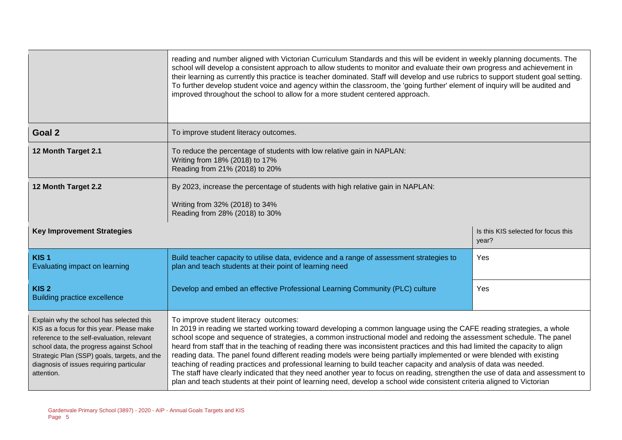|                                                                                                                                                                                                                                                                                           | reading and number aligned with Victorian Curriculum Standards and this will be evident in weekly planning documents. The<br>school will develop a consistent approach to allow students to monitor and evaluate their own progress and achievement in<br>their learning as currently this practice is teacher dominated. Staff will develop and use rubrics to support student goal setting.<br>To further develop student voice and agency within the classroom, the 'going further' element of inquiry will be audited and<br>improved throughout the school to allow for a more student centered approach.                                                                                                                                                                                                                                                                                                                    |                                              |  |  |  |
|-------------------------------------------------------------------------------------------------------------------------------------------------------------------------------------------------------------------------------------------------------------------------------------------|-----------------------------------------------------------------------------------------------------------------------------------------------------------------------------------------------------------------------------------------------------------------------------------------------------------------------------------------------------------------------------------------------------------------------------------------------------------------------------------------------------------------------------------------------------------------------------------------------------------------------------------------------------------------------------------------------------------------------------------------------------------------------------------------------------------------------------------------------------------------------------------------------------------------------------------|----------------------------------------------|--|--|--|
| Goal 2                                                                                                                                                                                                                                                                                    | To improve student literacy outcomes.                                                                                                                                                                                                                                                                                                                                                                                                                                                                                                                                                                                                                                                                                                                                                                                                                                                                                             |                                              |  |  |  |
| 12 Month Target 2.1                                                                                                                                                                                                                                                                       | To reduce the percentage of students with low relative gain in NAPLAN:<br>Writing from 18% (2018) to 17%<br>Reading from 21% (2018) to 20%                                                                                                                                                                                                                                                                                                                                                                                                                                                                                                                                                                                                                                                                                                                                                                                        |                                              |  |  |  |
| 12 Month Target 2.2                                                                                                                                                                                                                                                                       | By 2023, increase the percentage of students with high relative gain in NAPLAN:<br>Writing from 32% (2018) to 34%<br>Reading from 28% (2018) to 30%                                                                                                                                                                                                                                                                                                                                                                                                                                                                                                                                                                                                                                                                                                                                                                               |                                              |  |  |  |
| <b>Key Improvement Strategies</b>                                                                                                                                                                                                                                                         |                                                                                                                                                                                                                                                                                                                                                                                                                                                                                                                                                                                                                                                                                                                                                                                                                                                                                                                                   | Is this KIS selected for focus this<br>year? |  |  |  |
| KIS <sub>1</sub><br>Evaluating impact on learning                                                                                                                                                                                                                                         | Build teacher capacity to utilise data, evidence and a range of assessment strategies to<br>plan and teach students at their point of learning need                                                                                                                                                                                                                                                                                                                                                                                                                                                                                                                                                                                                                                                                                                                                                                               | Yes                                          |  |  |  |
| KIS <sub>2</sub><br><b>Building practice excellence</b>                                                                                                                                                                                                                                   | Develop and embed an effective Professional Learning Community (PLC) culture                                                                                                                                                                                                                                                                                                                                                                                                                                                                                                                                                                                                                                                                                                                                                                                                                                                      | Yes                                          |  |  |  |
| Explain why the school has selected this<br>KIS as a focus for this year. Please make<br>reference to the self-evaluation, relevant<br>school data, the progress against School<br>Strategic Plan (SSP) goals, targets, and the<br>diagnosis of issues requiring particular<br>attention. | To improve student literacy outcomes:<br>In 2019 in reading we started working toward developing a common language using the CAFE reading strategies, a whole<br>school scope and sequence of strategies, a common instructional model and redoing the assessment schedule. The panel<br>heard from staff that in the teaching of reading there was inconsistent practices and this had limited the capacity to align<br>reading data. The panel found different reading models were being partially implemented or were blended with existing<br>teaching of reading practices and professional learning to build teacher capacity and analysis of data was needed.<br>The staff have clearly indicated that they need another year to focus on reading, strengthen the use of data and assessment to<br>plan and teach students at their point of learning need, develop a school wide consistent criteria aligned to Victorian |                                              |  |  |  |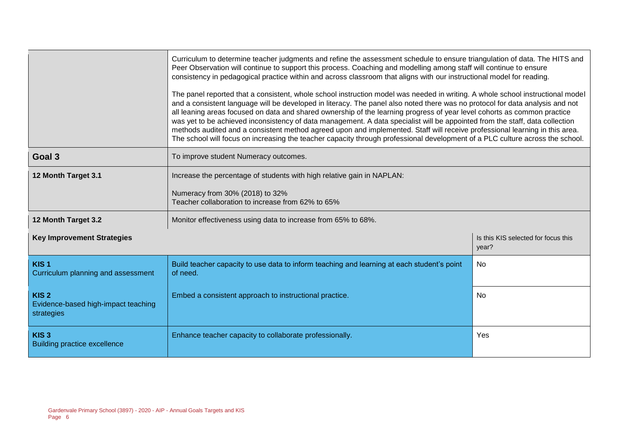|                                                                       | Curriculum to determine teacher judgments and refine the assessment schedule to ensure triangulation of data. The HITS and<br>Peer Observation will continue to support this process. Coaching and modelling among staff will continue to ensure<br>consistency in pedagogical practice within and across classroom that aligns with our instructional model for reading.<br>The panel reported that a consistent, whole school instruction model was needed in writing. A whole school instructional model<br>and a consistent language will be developed in literacy. The panel also noted there was no protocol for data analysis and not<br>all leaning areas focused on data and shared ownership of the learning progress of year level cohorts as common practice<br>was yet to be achieved inconsistency of data management. A data specialist will be appointed from the staff, data collection<br>methods audited and a consistent method agreed upon and implemented. Staff will receive professional learning in this area.<br>The school will focus on increasing the teacher capacity through professional development of a PLC culture across the school. |                                              |  |  |  |
|-----------------------------------------------------------------------|--------------------------------------------------------------------------------------------------------------------------------------------------------------------------------------------------------------------------------------------------------------------------------------------------------------------------------------------------------------------------------------------------------------------------------------------------------------------------------------------------------------------------------------------------------------------------------------------------------------------------------------------------------------------------------------------------------------------------------------------------------------------------------------------------------------------------------------------------------------------------------------------------------------------------------------------------------------------------------------------------------------------------------------------------------------------------------------------------------------------------------------------------------------------------|----------------------------------------------|--|--|--|
| Goal 3                                                                | To improve student Numeracy outcomes.                                                                                                                                                                                                                                                                                                                                                                                                                                                                                                                                                                                                                                                                                                                                                                                                                                                                                                                                                                                                                                                                                                                                    |                                              |  |  |  |
| 12 Month Target 3.1                                                   | Increase the percentage of students with high relative gain in NAPLAN:<br>Numeracy from 30% (2018) to 32%<br>Teacher collaboration to increase from 62% to 65%                                                                                                                                                                                                                                                                                                                                                                                                                                                                                                                                                                                                                                                                                                                                                                                                                                                                                                                                                                                                           |                                              |  |  |  |
| 12 Month Target 3.2                                                   | Monitor effectiveness using data to increase from 65% to 68%.                                                                                                                                                                                                                                                                                                                                                                                                                                                                                                                                                                                                                                                                                                                                                                                                                                                                                                                                                                                                                                                                                                            |                                              |  |  |  |
| <b>Key Improvement Strategies</b>                                     |                                                                                                                                                                                                                                                                                                                                                                                                                                                                                                                                                                                                                                                                                                                                                                                                                                                                                                                                                                                                                                                                                                                                                                          | Is this KIS selected for focus this<br>year? |  |  |  |
| KIS <sub>1</sub><br>Curriculum planning and assessment                | Build teacher capacity to use data to inform teaching and learning at each student's point<br>of need.                                                                                                                                                                                                                                                                                                                                                                                                                                                                                                                                                                                                                                                                                                                                                                                                                                                                                                                                                                                                                                                                   | No.                                          |  |  |  |
| KIS <sub>2</sub><br>Evidence-based high-impact teaching<br>strategies | Embed a consistent approach to instructional practice.                                                                                                                                                                                                                                                                                                                                                                                                                                                                                                                                                                                                                                                                                                                                                                                                                                                                                                                                                                                                                                                                                                                   | <b>No</b>                                    |  |  |  |
| KIS <sub>3</sub><br><b>Building practice excellence</b>               | Enhance teacher capacity to collaborate professionally.                                                                                                                                                                                                                                                                                                                                                                                                                                                                                                                                                                                                                                                                                                                                                                                                                                                                                                                                                                                                                                                                                                                  | Yes                                          |  |  |  |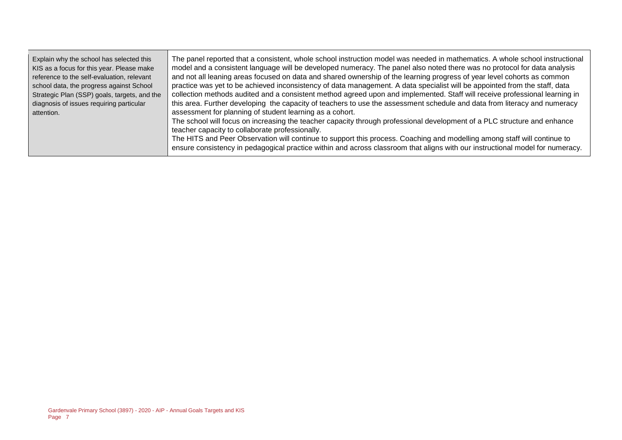| Explain why the school has selected this<br>KIS as a focus for this year. Please make<br>reference to the self-evaluation, relevant<br>school data, the progress against School<br>Strategic Plan (SSP) goals, targets, and the<br>diagnosis of issues requiring particular<br>attention. | The panel reported that a consistent, whole school instruction model was needed in mathematics. A whole school instructional<br>model and a consistent language will be developed numeracy. The panel also noted there was no protocol for data analysis<br>and not all leaning areas focused on data and shared ownership of the learning progress of year level cohorts as common<br>practice was yet to be achieved inconsistency of data management. A data specialist will be appointed from the staff, data<br>collection methods audited and a consistent method agreed upon and implemented. Staff will receive professional learning in<br>this area. Further developing the capacity of teachers to use the assessment schedule and data from literacy and numeracy<br>assessment for planning of student learning as a cohort.<br>The school will focus on increasing the teacher capacity through professional development of a PLC structure and enhance<br>teacher capacity to collaborate professionally.<br>The HITS and Peer Observation will continue to support this process. Coaching and modelling among staff will continue to<br>ensure consistency in pedagogical practice within and across classroom that aligns with our instructional model for numeracy. |
|-------------------------------------------------------------------------------------------------------------------------------------------------------------------------------------------------------------------------------------------------------------------------------------------|---------------------------------------------------------------------------------------------------------------------------------------------------------------------------------------------------------------------------------------------------------------------------------------------------------------------------------------------------------------------------------------------------------------------------------------------------------------------------------------------------------------------------------------------------------------------------------------------------------------------------------------------------------------------------------------------------------------------------------------------------------------------------------------------------------------------------------------------------------------------------------------------------------------------------------------------------------------------------------------------------------------------------------------------------------------------------------------------------------------------------------------------------------------------------------------------------------------------------------------------------------------------------------------|
|-------------------------------------------------------------------------------------------------------------------------------------------------------------------------------------------------------------------------------------------------------------------------------------------|---------------------------------------------------------------------------------------------------------------------------------------------------------------------------------------------------------------------------------------------------------------------------------------------------------------------------------------------------------------------------------------------------------------------------------------------------------------------------------------------------------------------------------------------------------------------------------------------------------------------------------------------------------------------------------------------------------------------------------------------------------------------------------------------------------------------------------------------------------------------------------------------------------------------------------------------------------------------------------------------------------------------------------------------------------------------------------------------------------------------------------------------------------------------------------------------------------------------------------------------------------------------------------------|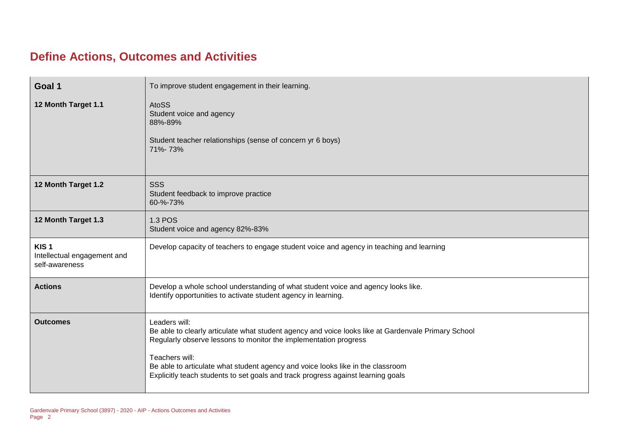### **Define Actions, Outcomes and Activities**

| Goal 1                                                            | To improve student engagement in their learning.                                                                                                                                                                                                                                                                                                                                  |
|-------------------------------------------------------------------|-----------------------------------------------------------------------------------------------------------------------------------------------------------------------------------------------------------------------------------------------------------------------------------------------------------------------------------------------------------------------------------|
| 12 Month Target 1.1                                               | <b>AtoSS</b><br>Student voice and agency<br>88%-89%<br>Student teacher relationships (sense of concern yr 6 boys)<br>71%-73%                                                                                                                                                                                                                                                      |
| 12 Month Target 1.2                                               | <b>SSS</b><br>Student feedback to improve practice<br>60-%-73%                                                                                                                                                                                                                                                                                                                    |
| 12 Month Target 1.3                                               | <b>1.3 POS</b><br>Student voice and agency 82%-83%                                                                                                                                                                                                                                                                                                                                |
| KIS <sub>1</sub><br>Intellectual engagement and<br>self-awareness | Develop capacity of teachers to engage student voice and agency in teaching and learning                                                                                                                                                                                                                                                                                          |
| <b>Actions</b>                                                    | Develop a whole school understanding of what student voice and agency looks like.<br>Identify opportunities to activate student agency in learning.                                                                                                                                                                                                                               |
| <b>Outcomes</b>                                                   | Leaders will:<br>Be able to clearly articulate what student agency and voice looks like at Gardenvale Primary School<br>Regularly observe lessons to monitor the implementation progress<br>Teachers will:<br>Be able to articulate what student agency and voice looks like in the classroom<br>Explicitly teach students to set goals and track progress against learning goals |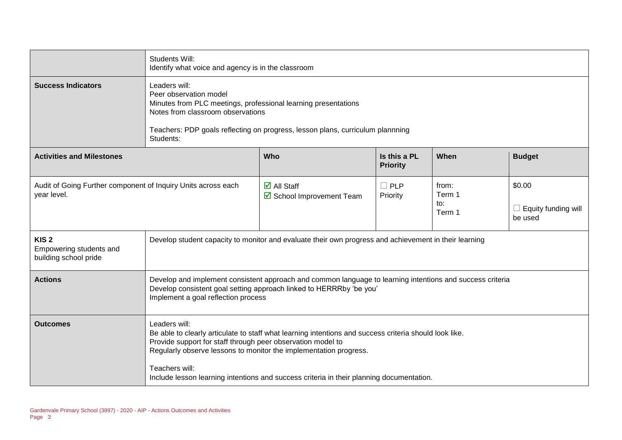|                                                                              | Students Will:<br>Identify what voice and agency is in the classroom                                                                                                                                                                                                                                                                                                      |                                                                |                                 |                                  |                                                 |
|------------------------------------------------------------------------------|---------------------------------------------------------------------------------------------------------------------------------------------------------------------------------------------------------------------------------------------------------------------------------------------------------------------------------------------------------------------------|----------------------------------------------------------------|---------------------------------|----------------------------------|-------------------------------------------------|
| <b>Success Indicators</b>                                                    | Leaders will:<br>Peer observation model<br>Minutes from PLC meetings, professional learning presentations<br>Notes from classroom observations<br>Teachers: PDP goals reflecting on progress, lesson plans, curriculum plannning<br>Students:                                                                                                                             |                                                                |                                 |                                  |                                                 |
| <b>Activities and Milestones</b>                                             |                                                                                                                                                                                                                                                                                                                                                                           | Who                                                            | Is this a PL<br><b>Priority</b> | When                             | <b>Budget</b>                                   |
| Audit of Going Further component of Inquiry Units across each<br>year level. |                                                                                                                                                                                                                                                                                                                                                                           | $\overline{\mathbf{M}}$ All Staff<br>☑ School Improvement Team | $\Box$ PLP<br>Priority          | from:<br>Term 1<br>to:<br>Term 1 | \$0.00<br>$\Box$ Equity funding will<br>be used |
| KIS <sub>2</sub><br>Empowering students and<br>building school pride         | Develop student capacity to monitor and evaluate their own progress and achievement in their learning                                                                                                                                                                                                                                                                     |                                                                |                                 |                                  |                                                 |
| <b>Actions</b>                                                               | Develop and implement consistent approach and common language to learning intentions and success criteria<br>Develop consistent goal setting approach linked to HERRRby 'be you'<br>Implement a goal reflection process                                                                                                                                                   |                                                                |                                 |                                  |                                                 |
| <b>Outcomes</b>                                                              | Leaders will:<br>Be able to clearly articulate to staff what learning intentions and success criteria should look like.<br>Provide support for staff through peer observation model to<br>Regularly observe lessons to monitor the implementation progress.<br>Teachers will:<br>Include lesson learning intentions and success criteria in their planning documentation. |                                                                |                                 |                                  |                                                 |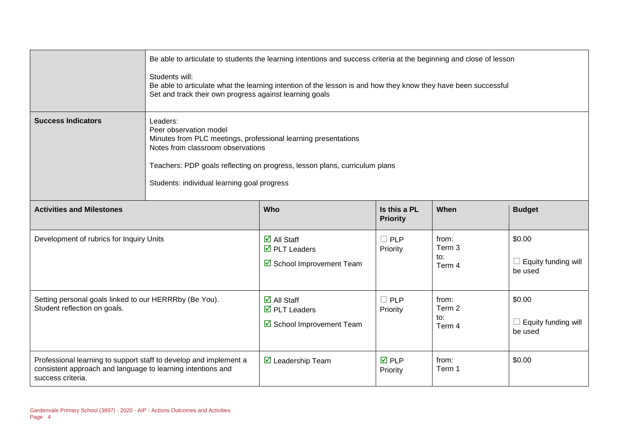|                                                                                                                                                       | Be able to articulate to students the learning intentions and success criteria at the beginning and close of lesson<br>Students will:<br>Be able to articulate what the learning intention of the lesson is and how they know they have been successful<br>Set and track their own progress against learning goals |                                                                                                     |                                 |                                  |                                                 |
|-------------------------------------------------------------------------------------------------------------------------------------------------------|--------------------------------------------------------------------------------------------------------------------------------------------------------------------------------------------------------------------------------------------------------------------------------------------------------------------|-----------------------------------------------------------------------------------------------------|---------------------------------|----------------------------------|-------------------------------------------------|
| <b>Success Indicators</b>                                                                                                                             | Leaders:<br>Peer observation model<br>Minutes from PLC meetings, professional learning presentations<br>Notes from classroom observations<br>Teachers: PDP goals reflecting on progress, lesson plans, curriculum plans<br>Students: individual learning goal progress                                             |                                                                                                     |                                 |                                  |                                                 |
| <b>Activities and Milestones</b>                                                                                                                      |                                                                                                                                                                                                                                                                                                                    | Who                                                                                                 | Is this a PL<br><b>Priority</b> | When                             | <b>Budget</b>                                   |
| Development of rubrics for Inquiry Units                                                                                                              |                                                                                                                                                                                                                                                                                                                    | $\overline{\mathsf{d}}$ All Staff<br>$\overline{\mathbf{M}}$ PLT Leaders<br>School Improvement Team | $\Box$ PLP<br>Priority          | from:<br>Term 3<br>to:<br>Term 4 | \$0.00<br>$\Box$ Equity funding will<br>be used |
| Setting personal goals linked to our HERRRby (Be You).<br>Student reflection on goals.                                                                |                                                                                                                                                                                                                                                                                                                    | $\overline{\mathbf{d}}$ All Staff<br>$\overline{\mathbf{D}}$ PLT Leaders<br>School Improvement Team | $\Box$ PLP<br>Priority          | from:<br>Term 2<br>to:<br>Term 4 | \$0.00<br>$\Box$ Equity funding will<br>be used |
| Professional learning to support staff to develop and implement a<br>consistent approach and language to learning intentions and<br>success criteria. |                                                                                                                                                                                                                                                                                                                    | $\triangledown$ Leadership Team                                                                     | <b>☑</b> PLP<br>Priority        | from:<br>Term 1                  | \$0.00                                          |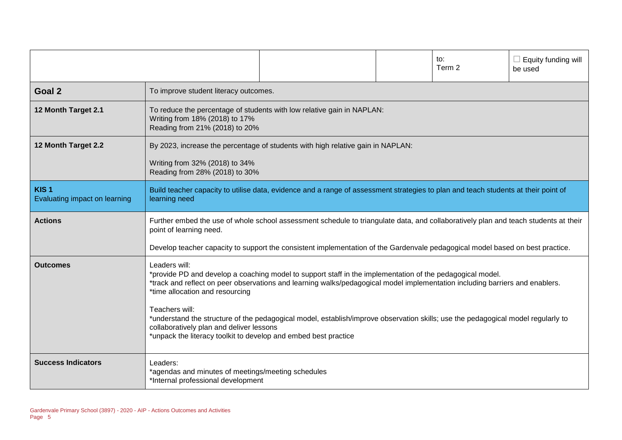|                                                   |                                                                                                                                                                                                                                                                                                                                                                                                                                                                                                                                                                    |                                                                        |  | to:<br>Term 2 | Equity funding will<br>be used |
|---------------------------------------------------|--------------------------------------------------------------------------------------------------------------------------------------------------------------------------------------------------------------------------------------------------------------------------------------------------------------------------------------------------------------------------------------------------------------------------------------------------------------------------------------------------------------------------------------------------------------------|------------------------------------------------------------------------|--|---------------|--------------------------------|
| Goal 2                                            | To improve student literacy outcomes.                                                                                                                                                                                                                                                                                                                                                                                                                                                                                                                              |                                                                        |  |               |                                |
| 12 Month Target 2.1                               | Writing from 18% (2018) to 17%<br>Reading from 21% (2018) to 20%                                                                                                                                                                                                                                                                                                                                                                                                                                                                                                   | To reduce the percentage of students with low relative gain in NAPLAN: |  |               |                                |
| 12 Month Target 2.2                               | By 2023, increase the percentage of students with high relative gain in NAPLAN:<br>Writing from 32% (2018) to 34%<br>Reading from 28% (2018) to 30%                                                                                                                                                                                                                                                                                                                                                                                                                |                                                                        |  |               |                                |
| KIS <sub>1</sub><br>Evaluating impact on learning | Build teacher capacity to utilise data, evidence and a range of assessment strategies to plan and teach students at their point of<br>learning need                                                                                                                                                                                                                                                                                                                                                                                                                |                                                                        |  |               |                                |
| <b>Actions</b>                                    | Further embed the use of whole school assessment schedule to triangulate data, and collaboratively plan and teach students at their<br>point of learning need.<br>Develop teacher capacity to support the consistent implementation of the Gardenvale pedagogical model based on best practice.                                                                                                                                                                                                                                                                    |                                                                        |  |               |                                |
| <b>Outcomes</b>                                   | Leaders will:<br>*provide PD and develop a coaching model to support staff in the implementation of the pedagogical model.<br>*track and reflect on peer observations and learning walks/pedagogical model implementation including barriers and enablers.<br>*time allocation and resourcing<br>Teachers will:<br>*understand the structure of the pedagogical model, establish/improve observation skills; use the pedagogical model regularly to<br>collaboratively plan and deliver lessons<br>*unpack the literacy toolkit to develop and embed best practice |                                                                        |  |               |                                |
| <b>Success Indicators</b>                         | Leaders:<br>*agendas and minutes of meetings/meeting schedules<br>*Internal professional development                                                                                                                                                                                                                                                                                                                                                                                                                                                               |                                                                        |  |               |                                |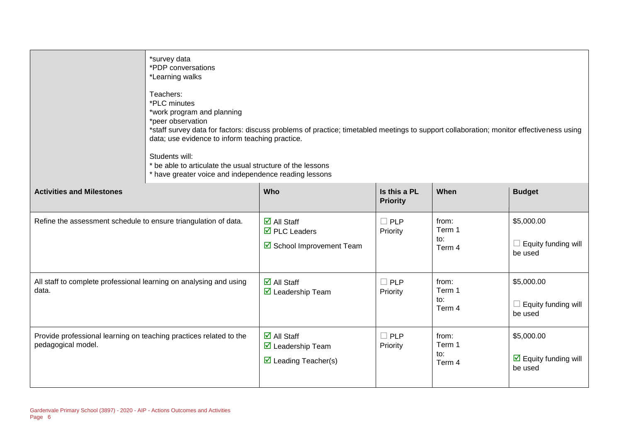|                                                                                          | *survey data<br>*PDP conversations<br>*Learning walks<br>Teachers:<br>*PLC minutes<br>*work program and planning                                                                                                                                                                                                                                         |                                                                                                                     |                                 |                                  |                                                                  |
|------------------------------------------------------------------------------------------|----------------------------------------------------------------------------------------------------------------------------------------------------------------------------------------------------------------------------------------------------------------------------------------------------------------------------------------------------------|---------------------------------------------------------------------------------------------------------------------|---------------------------------|----------------------------------|------------------------------------------------------------------|
|                                                                                          | *peer observation<br>*staff survey data for factors: discuss problems of practice; timetabled meetings to support collaboration; monitor effectiveness using<br>data; use evidence to inform teaching practice.<br>Students will:<br>* be able to articulate the usual structure of the lessons<br>* have greater voice and independence reading lessons |                                                                                                                     |                                 |                                  |                                                                  |
| <b>Activities and Milestones</b>                                                         |                                                                                                                                                                                                                                                                                                                                                          | Who                                                                                                                 | Is this a PL<br><b>Priority</b> | When                             | <b>Budget</b>                                                    |
| Refine the assessment schedule to ensure triangulation of data.                          |                                                                                                                                                                                                                                                                                                                                                          | $\overline{\mathsf{M}}$ All Staff<br>$\overline{\boxtimes}$ PLC Leaders<br>School Improvement Team                  | $\Box$ PLP<br>Priority          | from:<br>Term 1<br>to:<br>Term 4 | \$5,000.00<br>$\Box$ Equity funding will<br>be used              |
| All staff to complete professional learning on analysing and using<br>data.              |                                                                                                                                                                                                                                                                                                                                                          | $\overline{\blacksquare}$ All Staff<br>$\overline{\mathbf{M}}$ Leadership Team                                      | $\Box$ PLP<br>Priority          | from:<br>Term 1<br>to:<br>Term 4 | \$5,000.00<br>$\Box$ Equity funding will<br>be used              |
| Provide professional learning on teaching practices related to the<br>pedagogical model. |                                                                                                                                                                                                                                                                                                                                                          | $\overline{\mathsf{d}}$ All Staff<br>$\overline{\mathbf{M}}$ Leadership Team<br>$\triangleright$ Leading Teacher(s) | $\Box$ PLP<br>Priority          | from:<br>Term 1<br>to:<br>Term 4 | \$5,000.00<br>$\boxed{\triangle}$ Equity funding will<br>be used |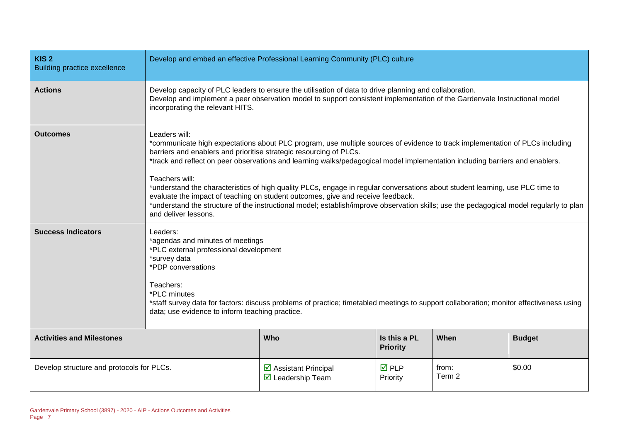| KIS <sub>2</sub><br><b>Building practice excellence</b> | Develop and embed an effective Professional Learning Community (PLC) culture                                                                                                                                                                                                                                                                                                                                                                                                                                                                                                                                                                                                                                                                                 |                                                                                 |                                |                 |        |
|---------------------------------------------------------|--------------------------------------------------------------------------------------------------------------------------------------------------------------------------------------------------------------------------------------------------------------------------------------------------------------------------------------------------------------------------------------------------------------------------------------------------------------------------------------------------------------------------------------------------------------------------------------------------------------------------------------------------------------------------------------------------------------------------------------------------------------|---------------------------------------------------------------------------------|--------------------------------|-----------------|--------|
| <b>Actions</b>                                          | Develop capacity of PLC leaders to ensure the utilisation of data to drive planning and collaboration.<br>Develop and implement a peer observation model to support consistent implementation of the Gardenvale Instructional model<br>incorporating the relevant HITS.                                                                                                                                                                                                                                                                                                                                                                                                                                                                                      |                                                                                 |                                |                 |        |
| <b>Outcomes</b>                                         | Leaders will:<br>*communicate high expectations about PLC program, use multiple sources of evidence to track implementation of PLCs including<br>barriers and enablers and prioritise strategic resourcing of PLCs.<br>*track and reflect on peer observations and learning walks/pedagogical model implementation including barriers and enablers.<br>Teachers will:<br>*understand the characteristics of high quality PLCs, engage in regular conversations about student learning, use PLC time to<br>evaluate the impact of teaching on student outcomes, give and receive feedback.<br>*understand the structure of the instructional model; establish/improve observation skills; use the pedagogical model regularly to plan<br>and deliver lessons. |                                                                                 |                                |                 |        |
| <b>Success Indicators</b>                               | Leaders:<br>*agendas and minutes of meetings<br>*PLC external professional development<br>*survey data<br>*PDP conversations<br>Teachers:<br>*PLC minutes<br>*staff survey data for factors: discuss problems of practice; timetabled meetings to support collaboration; monitor effectiveness using<br>data; use evidence to inform teaching practice.                                                                                                                                                                                                                                                                                                                                                                                                      |                                                                                 |                                |                 |        |
| <b>Activities and Milestones</b>                        | Who<br>Is this a PL<br>When<br><b>Budget</b><br><b>Priority</b>                                                                                                                                                                                                                                                                                                                                                                                                                                                                                                                                                                                                                                                                                              |                                                                                 |                                |                 |        |
| Develop structure and protocols for PLCs.               |                                                                                                                                                                                                                                                                                                                                                                                                                                                                                                                                                                                                                                                                                                                                                              | $\triangleright$ Assistant Principal<br>$\overline{\mathbf{M}}$ Leadership Team | $\overline{M}$ PLP<br>Priority | from:<br>Term 2 | \$0.00 |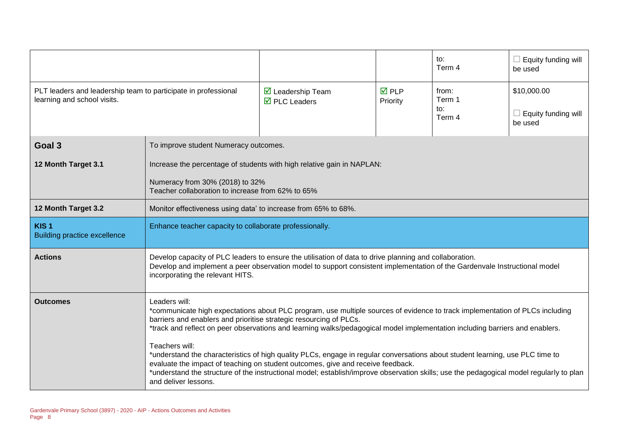|                                                                                               |                                                                                                                                                                                                                                                                                                                                                                                                       |                                                                                      |                                | to:<br>Term 4                    | $\Box$ Equity funding will<br>be used                |
|-----------------------------------------------------------------------------------------------|-------------------------------------------------------------------------------------------------------------------------------------------------------------------------------------------------------------------------------------------------------------------------------------------------------------------------------------------------------------------------------------------------------|--------------------------------------------------------------------------------------|--------------------------------|----------------------------------|------------------------------------------------------|
| PLT leaders and leadership team to participate in professional<br>learning and school visits. |                                                                                                                                                                                                                                                                                                                                                                                                       | $\triangleright$ Leadership Team<br>$\overline{\boxtimes}$ PLC Leaders               | $\overline{M}$ PLP<br>Priority | from:<br>Term 1<br>to:<br>Term 4 | \$10,000.00<br>$\Box$ Equity funding will<br>be used |
| Goal 3                                                                                        | To improve student Numeracy outcomes.                                                                                                                                                                                                                                                                                                                                                                 |                                                                                      |                                |                                  |                                                      |
| 12 Month Target 3.1                                                                           |                                                                                                                                                                                                                                                                                                                                                                                                       | Increase the percentage of students with high relative gain in NAPLAN:               |                                |                                  |                                                      |
|                                                                                               |                                                                                                                                                                                                                                                                                                                                                                                                       | Numeracy from 30% (2018) to 32%<br>Teacher collaboration to increase from 62% to 65% |                                |                                  |                                                      |
| 12 Month Target 3.2                                                                           | Monitor effectiveness using data' to increase from 65% to 68%.                                                                                                                                                                                                                                                                                                                                        |                                                                                      |                                |                                  |                                                      |
| KIS <sub>1</sub><br><b>Building practice excellence</b>                                       | Enhance teacher capacity to collaborate professionally.                                                                                                                                                                                                                                                                                                                                               |                                                                                      |                                |                                  |                                                      |
| <b>Actions</b>                                                                                | Develop capacity of PLC leaders to ensure the utilisation of data to drive planning and collaboration.<br>Develop and implement a peer observation model to support consistent implementation of the Gardenvale Instructional model<br>incorporating the relevant HITS.                                                                                                                               |                                                                                      |                                |                                  |                                                      |
| Outcomes                                                                                      | Leaders will:<br>*communicate high expectations about PLC program, use multiple sources of evidence to track implementation of PLCs including<br>barriers and enablers and prioritise strategic resourcing of PLCs.<br>*track and reflect on peer observations and learning walks/pedagogical model implementation including barriers and enablers.                                                   |                                                                                      |                                |                                  |                                                      |
|                                                                                               | Teachers will:<br>*understand the characteristics of high quality PLCs, engage in regular conversations about student learning, use PLC time to<br>evaluate the impact of teaching on student outcomes, give and receive feedback.<br>*understand the structure of the instructional model; establish/improve observation skills; use the pedagogical model regularly to plan<br>and deliver lessons. |                                                                                      |                                |                                  |                                                      |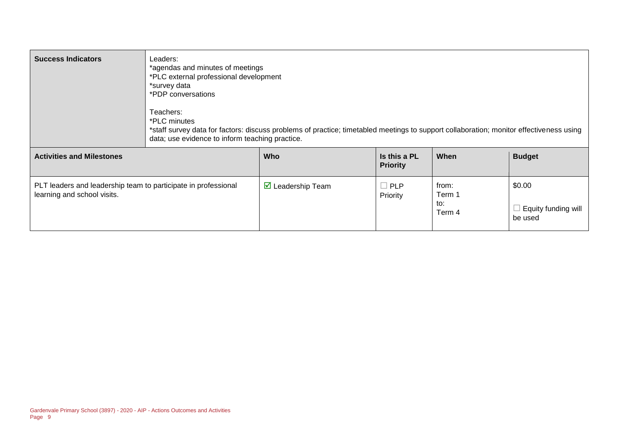| <b>Success Indicators</b>                                                                     | Leaders:<br>*agendas and minutes of meetings<br>*PLC external professional development<br>*survey data<br>*PDP conversations<br>Teachers:<br>*PLC minutes<br>data; use evidence to inform teaching practice. | *staff survey data for factors: discuss problems of practice; timetabled meetings to support collaboration; monitor effectiveness using |                                 |                                  |                                                 |
|-----------------------------------------------------------------------------------------------|--------------------------------------------------------------------------------------------------------------------------------------------------------------------------------------------------------------|-----------------------------------------------------------------------------------------------------------------------------------------|---------------------------------|----------------------------------|-------------------------------------------------|
| <b>Activities and Milestones</b>                                                              |                                                                                                                                                                                                              | <b>Who</b>                                                                                                                              | Is this a PL<br><b>Priority</b> | When                             | <b>Budget</b>                                   |
| PLT leaders and leadership team to participate in professional<br>learning and school visits. |                                                                                                                                                                                                              | $\boxtimes$ Leadership Team                                                                                                             | $\Box$ PLP<br>Priority          | from:<br>Term 1<br>to:<br>Term 4 | \$0.00<br>$\Box$ Equity funding will<br>be used |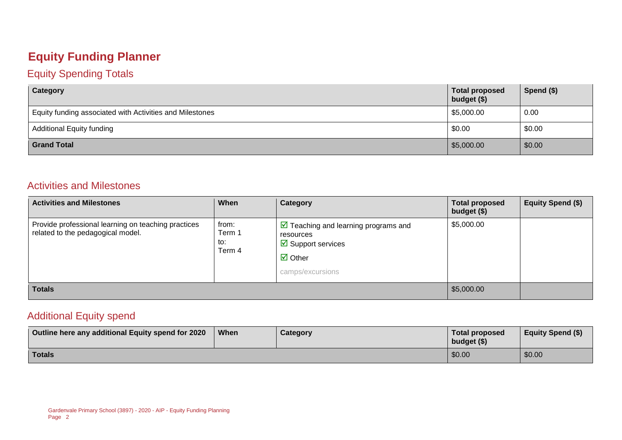### **Equity Funding Planner**

#### Equity Spending Totals

| Category                                                 | <b>Total proposed</b><br>budget (\$) | Spend $(\$)$ |
|----------------------------------------------------------|--------------------------------------|--------------|
| Equity funding associated with Activities and Milestones | \$5,000.00                           | 0.00         |
| <b>Additional Equity funding</b>                         | \$0.00                               | \$0.00       |
| <b>Grand Total</b>                                       | \$5,000.00                           | \$0.00       |

#### Activities and Milestones

| <b>Activities and Milestones</b>                                                         | When                             | Category                                                                                                                                                      | <b>Total proposed</b><br>budget (\$) | <b>Equity Spend (\$)</b> |
|------------------------------------------------------------------------------------------|----------------------------------|---------------------------------------------------------------------------------------------------------------------------------------------------------------|--------------------------------------|--------------------------|
| Provide professional learning on teaching practices<br>related to the pedagogical model. | from:<br>Term 1<br>to:<br>Term 4 | $\boxed{\triangleright}$ Teaching and learning programs and<br>resources<br>$\boxtimes$ Support services<br>$\overline{\mathbf{z}}$ Other<br>camps/excursions | \$5,000.00                           |                          |
| <b>Totals</b>                                                                            |                                  |                                                                                                                                                               | \$5,000.00                           |                          |

#### Additional Equity spend

| Outline here any additional Equity spend for 2020 | When | Category | Total proposed<br>budget $($)$ | <b>Equity Spend (\$)</b> |
|---------------------------------------------------|------|----------|--------------------------------|--------------------------|
| Totals                                            |      |          | \$0.00                         | \$0.00                   |